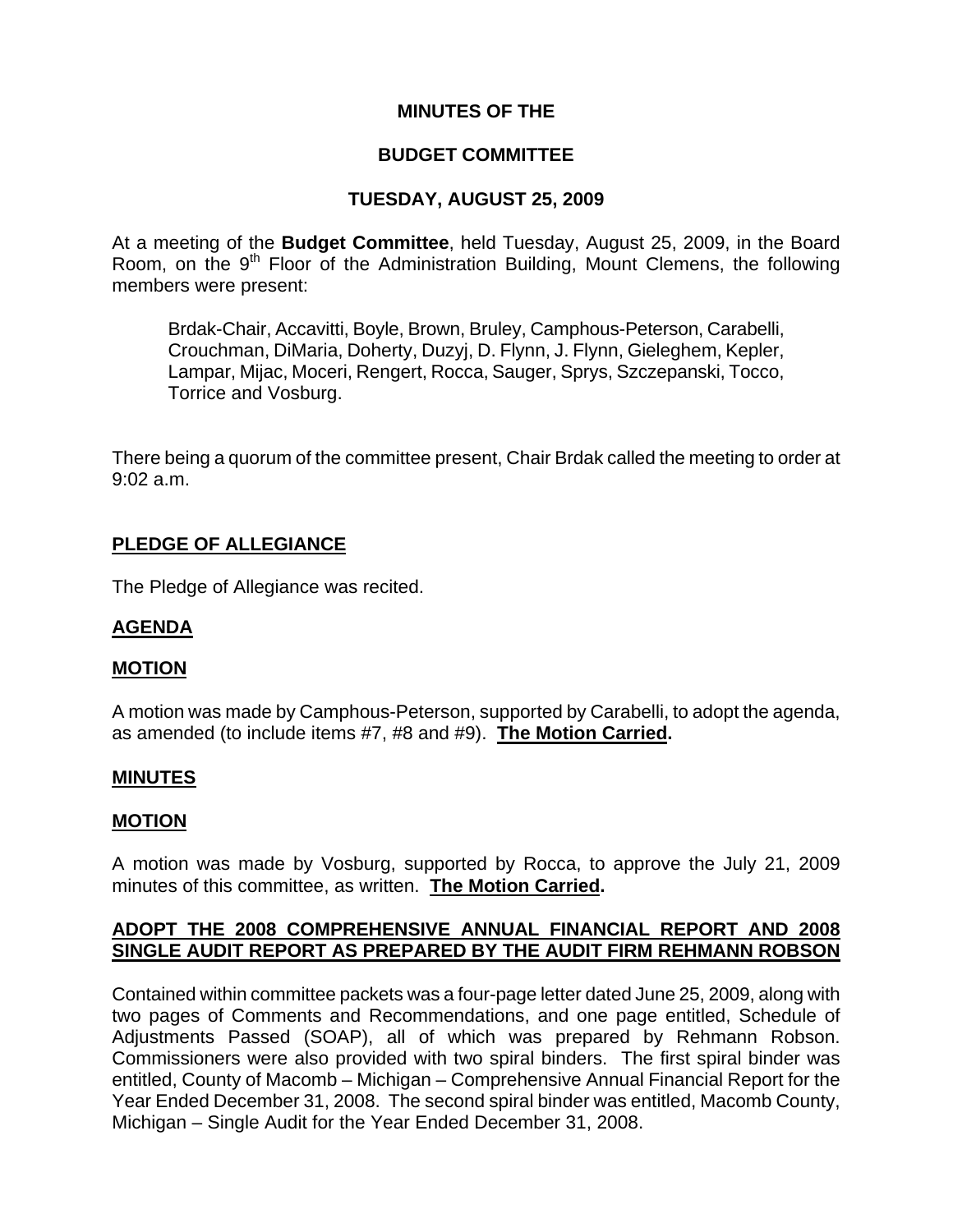## **MINUTES OF THE**

#### **BUDGET COMMITTEE**

### **TUESDAY, AUGUST 25, 2009**

At a meeting of the **Budget Committee**, held Tuesday, August 25, 2009, in the Board Room, on the  $9<sup>th</sup>$  Floor of the Administration Building, Mount Clemens, the following members were present:

Brdak-Chair, Accavitti, Boyle, Brown, Bruley, Camphous-Peterson, Carabelli, Crouchman, DiMaria, Doherty, Duzyj, D. Flynn, J. Flynn, Gieleghem, Kepler, Lampar, Mijac, Moceri, Rengert, Rocca, Sauger, Sprys, Szczepanski, Tocco, Torrice and Vosburg.

There being a quorum of the committee present, Chair Brdak called the meeting to order at 9:02 a.m.

### **PLEDGE OF ALLEGIANCE**

The Pledge of Allegiance was recited.

#### **AGENDA**

#### **MOTION**

A motion was made by Camphous-Peterson, supported by Carabelli, to adopt the agenda, as amended (to include items #7, #8 and #9). **The Motion Carried.** 

### **MINUTES**

#### **MOTION**

A motion was made by Vosburg, supported by Rocca, to approve the July 21, 2009 minutes of this committee, as written. **The Motion Carried.** 

#### **ADOPT THE 2008 COMPREHENSIVE ANNUAL FINANCIAL REPORT AND 2008 SINGLE AUDIT REPORT AS PREPARED BY THE AUDIT FIRM REHMANN ROBSON**

Contained within committee packets was a four-page letter dated June 25, 2009, along with two pages of Comments and Recommendations, and one page entitled, Schedule of Adjustments Passed (SOAP), all of which was prepared by Rehmann Robson. Commissioners were also provided with two spiral binders. The first spiral binder was entitled, County of Macomb – Michigan – Comprehensive Annual Financial Report for the Year Ended December 31, 2008. The second spiral binder was entitled, Macomb County, Michigan – Single Audit for the Year Ended December 31, 2008.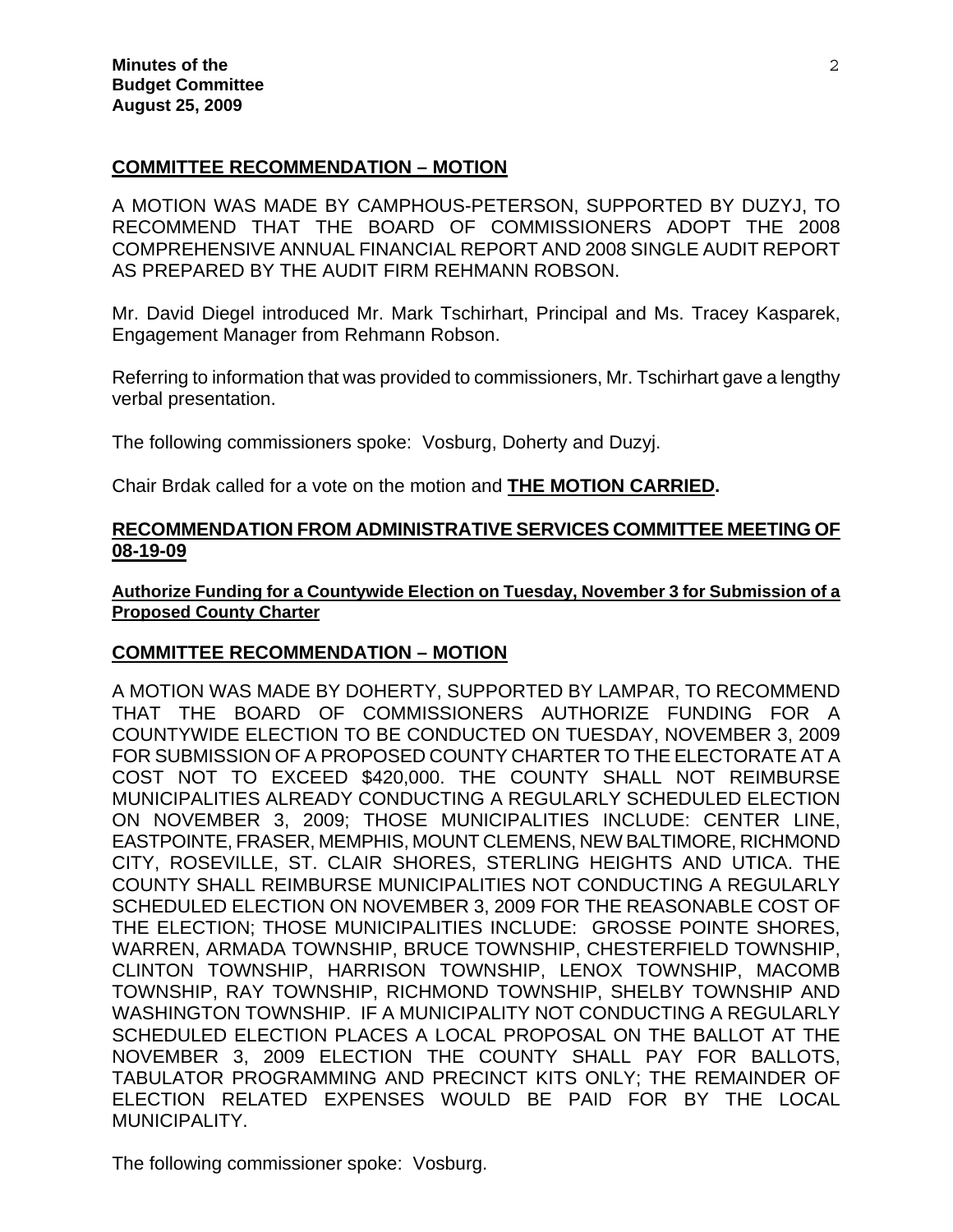### **COMMITTEE RECOMMENDATION – MOTION**

A MOTION WAS MADE BY CAMPHOUS-PETERSON, SUPPORTED BY DUZYJ, TO RECOMMEND THAT THE BOARD OF COMMISSIONERS ADOPT THE 2008 COMPREHENSIVE ANNUAL FINANCIAL REPORT AND 2008 SINGLE AUDIT REPORT AS PREPARED BY THE AUDIT FIRM REHMANN ROBSON.

Mr. David Diegel introduced Mr. Mark Tschirhart, Principal and Ms. Tracey Kasparek, Engagement Manager from Rehmann Robson.

Referring to information that was provided to commissioners, Mr. Tschirhart gave a lengthy verbal presentation.

The following commissioners spoke: Vosburg, Doherty and Duzyj.

Chair Brdak called for a vote on the motion and **THE MOTION CARRIED.** 

### **RECOMMENDATION FROM ADMINISTRATIVE SERVICES COMMITTEE MEETING OF 08-19-09**

**Authorize Funding for a Countywide Election on Tuesday, November 3 for Submission of a Proposed County Charter**

### **COMMITTEE RECOMMENDATION – MOTION**

A MOTION WAS MADE BY DOHERTY, SUPPORTED BY LAMPAR, TO RECOMMEND THAT THE BOARD OF COMMISSIONERS AUTHORIZE FUNDING FOR A COUNTYWIDE ELECTION TO BE CONDUCTED ON TUESDAY, NOVEMBER 3, 2009 FOR SUBMISSION OF A PROPOSED COUNTY CHARTER TO THE ELECTORATE AT A COST NOT TO EXCEED \$420,000. THE COUNTY SHALL NOT REIMBURSE MUNICIPALITIES ALREADY CONDUCTING A REGULARLY SCHEDULED ELECTION ON NOVEMBER 3, 2009; THOSE MUNICIPALITIES INCLUDE: CENTER LINE, EASTPOINTE, FRASER, MEMPHIS, MOUNT CLEMENS, NEW BALTIMORE, RICHMOND CITY, ROSEVILLE, ST. CLAIR SHORES, STERLING HEIGHTS AND UTICA. THE COUNTY SHALL REIMBURSE MUNICIPALITIES NOT CONDUCTING A REGULARLY SCHEDULED ELECTION ON NOVEMBER 3, 2009 FOR THE REASONABLE COST OF THE ELECTION; THOSE MUNICIPALITIES INCLUDE: GROSSE POINTE SHORES, WARREN, ARMADA TOWNSHIP, BRUCE TOWNSHIP, CHESTERFIELD TOWNSHIP, CLINTON TOWNSHIP, HARRISON TOWNSHIP, LENOX TOWNSHIP, MACOMB TOWNSHIP, RAY TOWNSHIP, RICHMOND TOWNSHIP, SHELBY TOWNSHIP AND WASHINGTON TOWNSHIP. IF A MUNICIPALITY NOT CONDUCTING A REGULARLY SCHEDULED ELECTION PLACES A LOCAL PROPOSAL ON THE BALLOT AT THE NOVEMBER 3, 2009 ELECTION THE COUNTY SHALL PAY FOR BALLOTS, TABULATOR PROGRAMMING AND PRECINCT KITS ONLY; THE REMAINDER OF ELECTION RELATED EXPENSES WOULD BE PAID FOR BY THE LOCAL MUNICIPALITY.